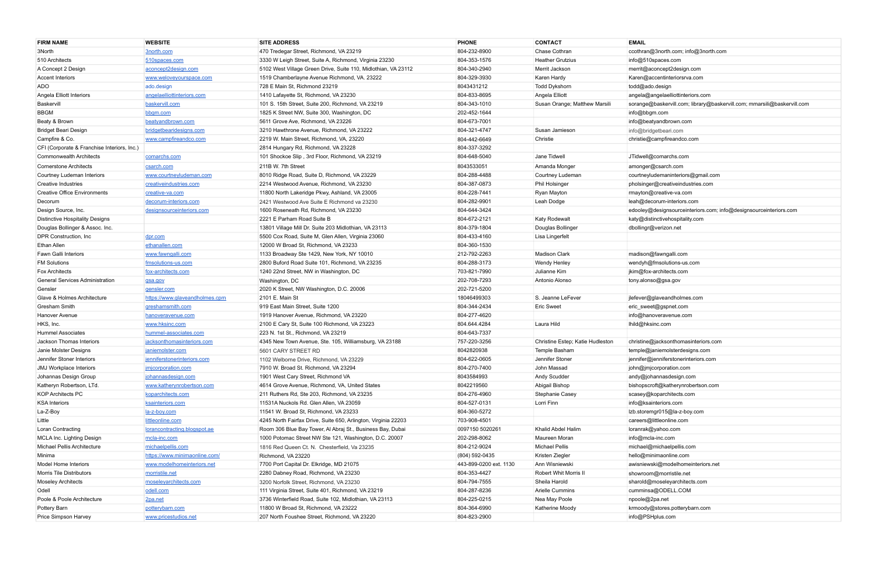| <b>FIRM NAME</b>                            | <b>WEBSITE</b>                      | <b>SITE ADDRESS</b>                                            | <b>PHONE</b>           | <b>CONTACT</b>                   | <b>EMAIL</b>                                                            |
|---------------------------------------------|-------------------------------------|----------------------------------------------------------------|------------------------|----------------------------------|-------------------------------------------------------------------------|
| 3North                                      | 3north.com                          | 470 Tredegar Street, Richmond, VA 23219                        | 804-232-8900           | Chase Cothran                    | ccothran@3north.com; info@3north.com                                    |
| 510 Architects                              | 510spaces.com                       | 3330 W Leigh Street, Suite A, Richmond, Virginia 23230         | 804-353-1576           | <b>Heather Grutzius</b>          | info@510spaces.com                                                      |
| A Concept 2 Design                          | aconcept2design.com                 | 5102 West Village Green Drive, Suite 110, Midlothian, VA 23112 | 804-340-2940           | Merrit Jackson                   | merrit@aconcept2design.com                                              |
| <b>Accent Interiors</b>                     | www.weloveyourspace.com             | 1519 Chamberlayne Avenue Richmond, VA. 23222                   | 804-329-3930           | Karen Hardy                      | Karen@accentinteriorsrva.com                                            |
| ADO                                         | ado.design                          | 728 E Main St. Richmond 23219                                  | 8043431212             | Todd Dykshorn                    | todd@ado.design                                                         |
| Angela Elliott Interiors                    | angelaelliottinteriors.com          | 1410 Lafayette St, Richmond, VA 23230                          | 804-833-8695           | Angela Elliott                   | angela@angelaelliottinteriors.com                                       |
| Baskervill                                  | baskervill.com                      | 101 S. 15th Street, Suite 200, Richmond, VA 23219              | 804-343-1010           | Susan Orange; Matthew Marsili    | sorange@baskervill.com; library@baskervill.com; mmarsili@baskervill.com |
| <b>BBGM</b>                                 | bbgm.com                            | 1825 K Street NW, Suite 300, Washington, DC                    | 202-452-1644           |                                  | info@bbgm.com                                                           |
| Beaty & Brown                               | beatyandbrown.com                   | 5611 Grove Ave, Richmond, VA 23226                             | 804-673-7001           |                                  | info@beatyandbrown.com                                                  |
| Bridget Beari Design                        | bridgetbearidesigns.com             | 3210 Hawthrone Avenue, Richmond, VA 23222                      | 804-321-4747           | Susan Jamieson                   | info@bridgetbeari.com                                                   |
| Campfire & Co.                              | www.campfireandco.com               | 2219 W. Main Street, Richmond, VA, 23220                       | 804-442-6649           | Christie                         | christie@campfireandco.com                                              |
| CFI (Corporate & Franchise Interiors, Inc.) |                                     | 2814 Hungary Rd, Richmond, VA 23228                            | 804-337-3292           |                                  |                                                                         |
| <b>Commonwealth Architects</b>              | comarchs.com                        | 101 Shockoe Slip, 3rd Floor, Richmond, VA 23219                | 804-648-5040           | Jane Tidwell                     | JTidwell@comarchs.com                                                   |
| <b>Cornerstone Architects</b>               | csarch.com                          | 211B W. 7th Street                                             | 8043533051             | Amanda Monger                    | amonger@csarch.com                                                      |
| Courtney Ludeman Interiors                  | www.courtneyludeman.com             | 8010 Ridge Road, Suite D, Richmond, VA 23229                   | 804-288-4488           | Courtney Ludeman                 | courtneyludemaninteriors@gmail.com                                      |
| <b>Creative Industries</b>                  | creative industries.com             | 2214 Westwood Avenue, Richmond, VA 23230                       | 804-387-0873           | Phil Holsinger                   | pholsinger@creativeindustries.com                                       |
| <b>Creative Office Environments</b>         | <u>creative-va.com</u>              | 11800 North Lakeridge Pkwy, Ashland, VA 23005                  | 804-228-7441           | Ryan Mayton                      | rmayton@creative-va.com                                                 |
| Decorum                                     | decorum-interiors.com               | 2421 Westwood Ave Suite E Richmond va 23230                    | 804-282-9901           | Leah Dodge                       | leah@decorum-interiors.com                                              |
| Design Source, Inc.                         | designsourceinteriors.com           | 1600 Roseneath Rd, Richmond, VA 23230                          | 804-644-3424           |                                  | edooley@designsourceinteriors.com; info@designsourceinteriors.com       |
| <b>Distinctive Hospitality Designs</b>      |                                     | 2221 E Parham Road Suite B                                     | 804-672-2121           | <b>Katy Rodewalt</b>             | katy@distinctivehospitality.com                                         |
| Douglas Bollinger & Assoc. Inc.             |                                     | 13801 Village Mill Dr. Suite 203 Midlothian, VA 23113          | 804-379-1804           | Douglas Bollinger                | dbollingr@verizon.net                                                   |
| DPR Construction, Inc.                      | dpr.com                             | 5500 Cox Road, Suite M, Glen Allen, Virginia 23060             | 804-433-4160           | Lisa Lingerfelt                  |                                                                         |
| Ethan Allen                                 | ethanallen.com                      | 12000 W Broad St, Richmond, VA 23233                           | 804-360-1530           |                                  |                                                                         |
| <b>Fawn Galli Interiors</b>                 | www.fawngalli.com                   | 1133 Broadway Ste 1429, New York, NY 10010                     | 212-792-2263           | Madison Clark                    | madison@fawngalli.com                                                   |
| <b>FM Solutions</b>                         | fmsolutions-us.com                  | 2800 Buford Road Suite 101, Richmond, VA 23235                 | 804-288-3173           | <b>Wendy Henley</b>              | wendyh@fmsolutions-us.com                                               |
| <b>Fox Architects</b>                       | fox-architects.com                  | 1240 22nd Street, NW in Washington, DC                         | 703-821-7990           | Julianne Kim                     | jkim@fox-architects.com                                                 |
| <b>General Services Administration</b>      | gsa.gov                             | Washington, DC                                                 | 202-708-7293           | Antonio Alonso                   | tony.alonso@gsa.gov                                                     |
| Gensler                                     | gensler.com                         | 2020 K Street, NW Washington, D.C. 20006                       | 202-721-5200           |                                  |                                                                         |
| Glave & Holmes Architecture                 | https://www.glaveandholmes.cpm      | 2101 E. Main St                                                | 18046499303            | S. Jeanne LeFever                | jlefever@glaveandholmes.com                                             |
| <b>Gresham Smith</b>                        | greshamsmith.com                    | 919 East Main Street, Suite 1200                               | 804-344-2434           | <b>Eric Sweet</b>                | eric_sweet@gspnet.com                                                   |
| <b>Hanover Avenue</b>                       | hanoveravenue.com                   | 1919 Hanover Avenue, Richmond, VA 23220                        | 804-277-4620           |                                  | info@hanoveravenue.com                                                  |
| HKS, Inc.                                   | www.hksinc.com                      | 2100 E Cary St, Suite 100 Richmond, VA 23223                   | 804.644.4284           | Laura Hild                       | Ihild@hksinc.com                                                        |
| <b>Hummel Associates</b>                    | hummel-associates.com               | 223 N. 1st St., Richmond, VA 23219                             | 804-643-7337           |                                  |                                                                         |
| Jackson Thomas Interiors                    | iacksonthomasinteriors.com          | 4345 New Town Avenue, Ste. 105, Williamsburg, VA 23188         | 757-220-3256           | Christine Estep; Katie Hudleston | christine@jacksonthomasinteriors.com                                    |
| Janie Molster Designs                       | janiemolster.com                    | 5601 CARY STREET RD                                            | 8042820938             | Temple Basham                    | temple@janiemolsterdesigns.com                                          |
| Jennifer Stoner Interiors                   | jenniferstonerinteriors.com         | 1102 Welborne Drive, Richmond, VA 23229                        | 804-622-0605           | Jennifer Stoner                  | jennifer@jenniferstonerinteriors.com                                    |
| <b>JMJ Workplace Interiors</b>              | <u>imjcorporation.com</u>           | 7910 W. Broad St. Richmond, VA 23294                           | 804-270-7400           | John Massad                      | john@jmjcorporation.com                                                 |
| Johannas Design Group                       | johannasdesign.com                  | 1901 West Cary Street, Richmond VA                             | 8043584993             | Andy Scudder                     | andy@johannasdesign.com                                                 |
| Katheryn Robertson, LTd.                    | www.katherynrobertson.com           | 4614 Grove Avenue, Richmond, VA, United States                 | 8042219560             | Abigail Bishop                   | bishopscroft@katherynrobertson.com                                      |
| <b>KOP Architects PC</b>                    | koparchitects.com                   | 211 Ruthers Rd, Ste 203, Richmond, VA 23235                    | 804-276-4960           | Stephanie Casey                  | scasey@koparchitects.com                                                |
| <b>KSA Interiors</b>                        | ksainteriors.com                    | 11531A Nuckols Rd. Glen Allen, VA 23059                        | 804-527-0131           | Lorri Finn                       | info@ksainteriors.com                                                   |
| La-Z-Boy                                    | la-z-boy.com                        | 11541 W. Broad St. Richmond. VA 23233                          | 804-360-5272           |                                  | Izb.storemgr015@la-z-boy.com                                            |
| Little                                      | littleonline.com                    | 4245 North Fairfax Drive, Suite 650, Arlington, Virginia 22203 | 703-908-4501           |                                  | careers@littleonline.com                                                |
| Loran Contracting                           | <u>lorancontracting.blogspot.ae</u> | Room 306 Blue Bay Tower, Al Abraj St., Business Bay, Dubai     | 0097150 5020261        | Khalid Abdel Halim               | loranrak@yahoo.com                                                      |
| MCLA Inc. Lighting Design                   | mcla-inc.com                        | 1000 Potomac Street NW Ste 121, Washington, D.C. 20007         | 202-298-8062           | Maureen Moran                    | info@mcla-inc.com                                                       |
| Michael Pellis Architecture                 | michaelpellis.com                   | 1816 Red Queen Ct. N. Chesterfield. Va 23235                   | 804-212-9024           | Michael Pellis                   | michael@michaelpellis.com                                               |
| Minima                                      | https://www.minimaonline.com/       | Richmond, VA 23220                                             | (804) 592-0435         | Kristen Ziegler                  | hello@minimaonline.com                                                  |
| Model Home Interiors                        | www.modelhomeinteriors.net          | 7700 Port Capital Dr. Elkridge, MD 21075                       | 443-899-0200 ext. 1130 | Ann Wisniewski                   | awisniewski@modelhomeinteriors.net                                      |
| <b>Morris Tile Distributors</b>             | morristile.net                      | 2280 Dabney Road, Richmond, VA 23230                           | 804-353-4427           | Robert Whit Morris II            | showroom@morristile.net                                                 |
| <b>Moseley Architects</b>                   | moseleyarchitects.com               | 3200 Norfolk Street, Richmond, VA 23230                        | 804-794-7555           | Sheila Harold                    | sharold@moseleyarchitects.com                                           |
| Odell                                       | odell.com                           | 111 Virginia Street, Suite 401, Richmond, VA 23219             | 804-287-8236           | Arielle Cummins                  | cumminsa@ODELL.COM                                                      |
| Poole & Poole Architecture                  | 2pa.net                             | 3736 Winterfield Road, Suite 102, Midlothian, VA 23113         | 804-225-0215           | Nea May Poole                    | npoole@2pa.net                                                          |
| Pottery Barn                                | potterybarn.com                     | 11800 W Broad St, Richmond, VA 23222                           | 804-364-6990           | Katherine Moody                  | krmoody@stores.potterybarn.com                                          |
| Price Simpson Harvey                        | www.pricestudios.net                | 207 North Foushee Street, Richmond, VA 23220                   | 804-823-2900           |                                  | info@PSHplus.com                                                        |